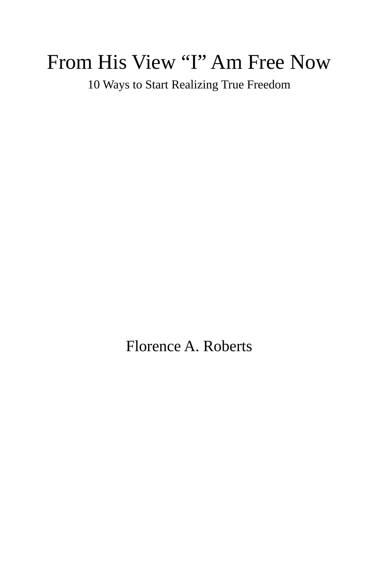# From His View "I" Am Free Now

10 Ways to Start Realizing True Freedom

Florence A. Roberts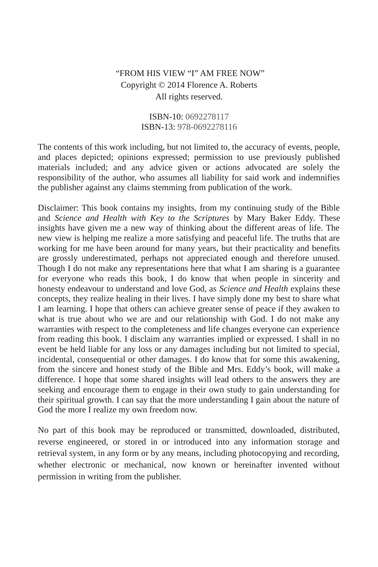### "FROM HIS VIEW "I" AM FREE NOW" Copyright © 2014 Florence A. Roberts All rights reserved.

#### ISBN-10: 0692278117 ISBN-13: 978-0692278116

The contents of this work including, but not limited to, the accuracy of events, people, and places depicted; opinions expressed; permission to use previously published materials included; and any advice given or actions advocated are solely the responsibility of the author, who assumes all liability for said work and indemnifies the publisher against any claims stemming from publication of the work.

Disclaimer: This book contains my insights, from my continuing study of the Bible and *Science and Health with Key to the Scriptures* by Mary Baker Eddy. These insights have given me a new way of thinking about the different areas of life. The new view is helping me realize a more satisfying and peaceful life. The truths that are working for me have been around for many years, but their practicality and benefits are grossly underestimated, perhaps not appreciated enough and therefore unused. Though I do not make any representations here that what I am sharing is a guarantee for everyone who reads this book, I do know that when people in sincerity and honesty endeavour to understand and love God, as *Science and Health* explains these concepts, they realize healing in their lives. I have simply done my best to share what I am learning. I hope that others can achieve greater sense of peace if they awaken to what is true about who we are and our relationship with God. I do not make any warranties with respect to the completeness and life changes everyone can experience from reading this book. I disclaim any warranties implied or expressed. I shall in no event be held liable for any loss or any damages including but not limited to special, incidental, consequential or other damages. I do know that for some this awakening, from the sincere and honest study of the Bible and Mrs. Eddy's book, will make a difference. I hope that some shared insights will lead others to the answers they are seeking and encourage them to engage in their own study to gain understanding for their spiritual growth. I can say that the more understanding I gain about the nature of God the more I realize my own freedom now.

No part of this book may be reproduced or transmitted, downloaded, distributed, reverse engineered, or stored in or introduced into any information storage and retrieval system, in any form or by any means, including photocopying and recording, whether electronic or mechanical, now known or hereinafter invented without permission in writing from the publisher.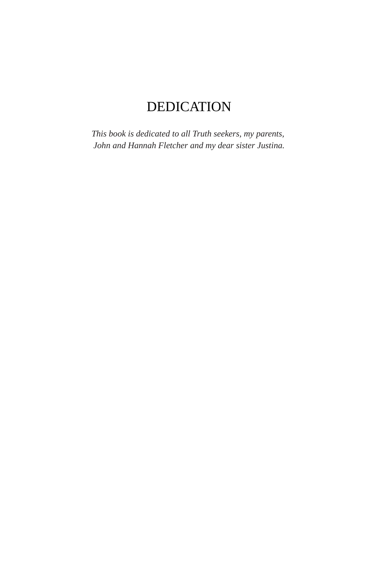## DEDICATION

*This book is dedicated to all Truth seekers, my parents, John and Hannah Fletcher and my dear sister Justina.*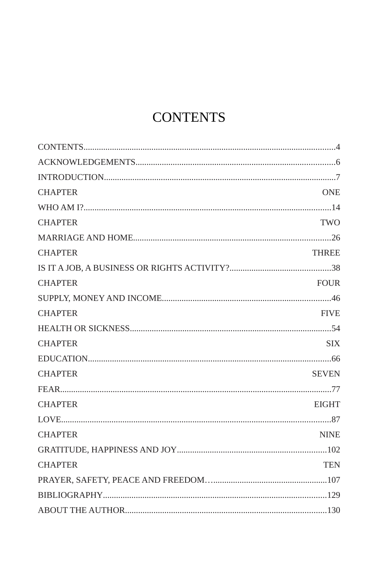# <span id="page-3-0"></span>**CONTENTS**

| <b>CHAPTER</b> | <b>ONE</b>   |
|----------------|--------------|
|                |              |
| <b>CHAPTER</b> | <b>TWO</b>   |
|                |              |
| <b>CHAPTER</b> | <b>THREE</b> |
|                |              |
| <b>CHAPTER</b> | <b>FOUR</b>  |
|                |              |
| <b>CHAPTER</b> | <b>FIVE</b>  |
|                |              |
| <b>CHAPTER</b> | <b>SIX</b>   |
|                |              |
| <b>CHAPTER</b> | <b>SEVEN</b> |
|                |              |
| <b>CHAPTER</b> | <b>EIGHT</b> |
|                |              |
| <b>CHAPTER</b> | <b>NINE</b>  |
|                |              |
| <b>CHAPTER</b> | <b>TEN</b>   |
|                |              |
|                |              |
|                |              |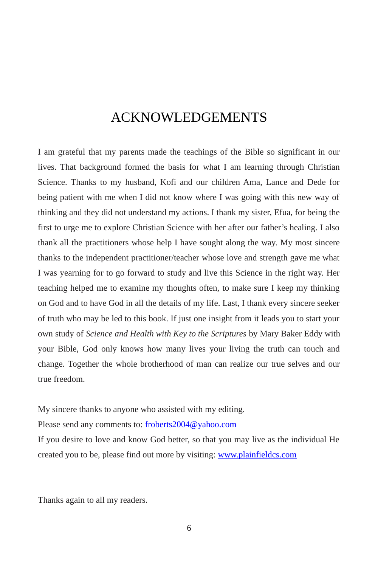### <span id="page-5-0"></span>ACKNOWLEDGEMENTS

I am grateful that my parents made the teachings of the Bible so significant in our lives. That background formed the basis for what I am learning through Christian Science. Thanks to my husband, Kofi and our children Ama, Lance and Dede for being patient with me when I did not know where I was going with this new way of thinking and they did not understand my actions. I thank my sister, Efua, for being the first to urge me to explore Christian Science with her after our father's healing. I also thank all the practitioners whose help I have sought along the way. My most sincere thanks to the independent practitioner/teacher whose love and strength gave me what I was yearning for to go forward to study and live this Science in the right way. Her teaching helped me to examine my thoughts often, to make sure I keep my thinking on God and to have God in all the details of my life. Last, I thank every sincere seeker of truth who may be led to this book. If just one insight from it leads you to start your own study of *Science and Health with Key to the Scriptures* by Mary Baker Eddy with your Bible, God only knows how many lives your living the truth can touch and change. Together the whole brotherhood of man can realize our true selves and our true freedom.

My sincere thanks to anyone who assisted with my editing.

Please send any comments to: [froberts2004@yahoo.com](mailto:froberts2004@yahoo.com)

If you desire to love and know God better, so that you may live as the individual He created you to be, please find out more by visiting: [www.plainfieldcs.com](http://www.plainfieldcs.com/)

Thanks again to all my readers.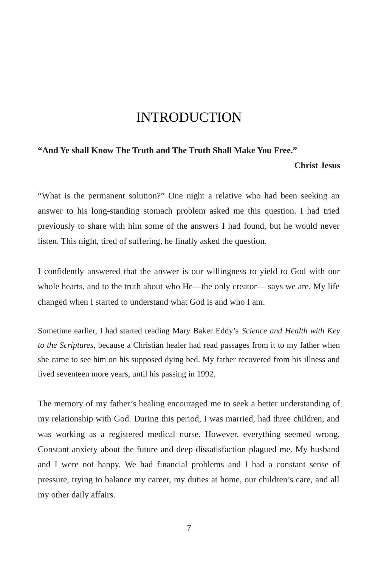### <span id="page-6-0"></span>INTRODUCTION

#### **"And Ye shall Know The Truth and The Truth Shall Make You Free."**

#### **Christ Jesus**

"What is the permanent solution?" One night a relative who had been seeking an answer to his long-standing stomach problem asked me this question. I had tried previously to share with him some of the answers I had found, but he would never listen. This night, tired of suffering, he finally asked the question.

I confidently answered that the answer is our willingness to yield to God with our whole hearts, and to the truth about who He—the only creator— says we are. My life changed when I started to understand what God is and who I am.

Sometime earlier, I had started reading Mary Baker Eddy's *Science and Health with Key to the Scriptures,* because a Christian healer had read passages from it to my father when she came to see him on his supposed dying bed. My father recovered from his illness and lived seventeen more years, until his passing in 1992.

The memory of my father's healing encouraged me to seek a better understanding of my relationship with God. During this period, I was married, had three children, and was working as a registered medical nurse. However, everything seemed wrong. Constant anxiety about the future and deep dissatisfaction plagued me. My husband and I were not happy. We had financial problems and I had a constant sense of pressure, trying to balance my career, my duties at home, our children's care, and all my other daily affairs.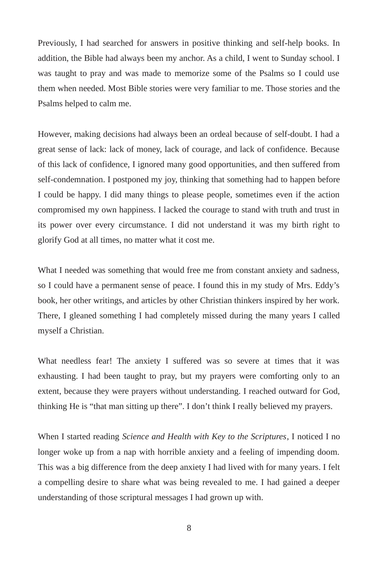Previously, I had searched for answers in positive thinking and self-help books. In addition, the Bible had always been my anchor. As a child, I went to Sunday school. I was taught to pray and was made to memorize some of the Psalms so I could use them when needed. Most Bible stories were very familiar to me. Those stories and the Psalms helped to calm me.

However, making decisions had always been an ordeal because of self-doubt. I had a great sense of lack: lack of money, lack of courage, and lack of confidence. Because of this lack of confidence, I ignored many good opportunities, and then suffered from self-condemnation. I postponed my joy, thinking that something had to happen before I could be happy. I did many things to please people, sometimes even if the action compromised my own happiness. I lacked the courage to stand with truth and trust in its power over every circumstance. I did not understand it was my birth right to glorify God at all times, no matter what it cost me.

What I needed was something that would free me from constant anxiety and sadness, so I could have a permanent sense of peace. I found this in my study of Mrs. Eddy's book, her other writings, and articles by other Christian thinkers inspired by her work. There, I gleaned something I had completely missed during the many years I called myself a Christian.

What needless fear! The anxiety I suffered was so severe at times that it was exhausting. I had been taught to pray, but my prayers were comforting only to an extent, because they were prayers without understanding. I reached outward for God, thinking He is "that man sitting up there". I don't think I really believed my prayers.

When I started reading *Science and Health with Key to the Scriptures*, I noticed I no longer woke up from a nap with horrible anxiety and a feeling of impending doom. This was a big difference from the deep anxiety I had lived with for many years. I felt a compelling desire to share what was being revealed to me. I had gained a deeper understanding of those scriptural messages I had grown up with.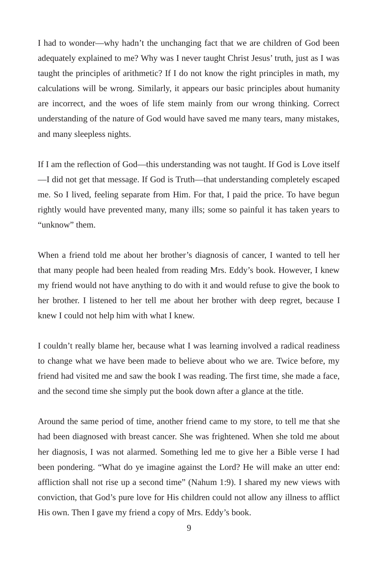I had to wonder—why hadn't the unchanging fact that we are children of God been adequately explained to me? Why was I never taught Christ Jesus' truth, just as I was taught the principles of arithmetic? If I do not know the right principles in math, my calculations will be wrong. Similarly, it appears our basic principles about humanity are incorrect, and the woes of life stem mainly from our wrong thinking. Correct understanding of the nature of God would have saved me many tears, many mistakes, and many sleepless nights.

If I am the reflection of God—this understanding was not taught. If God is Love itself —I did not get that message. If God is Truth—that understanding completely escaped me. So I lived, feeling separate from Him. For that, I paid the price. To have begun rightly would have prevented many, many ills; some so painful it has taken years to "unknow" them.

When a friend told me about her brother's diagnosis of cancer, I wanted to tell her that many people had been healed from reading Mrs. Eddy's book. However, I knew my friend would not have anything to do with it and would refuse to give the book to her brother. I listened to her tell me about her brother with deep regret, because I knew I could not help him with what I knew.

I couldn't really blame her, because what I was learning involved a radical readiness to change what we have been made to believe about who we are. Twice before, my friend had visited me and saw the book I was reading. The first time, she made a face, and the second time she simply put the book down after a glance at the title.

Around the same period of time, another friend came to my store, to tell me that she had been diagnosed with breast cancer. She was frightened. When she told me about her diagnosis, I was not alarmed. Something led me to give her a Bible verse I had been pondering. "What do ye imagine against the Lord? He will make an utter end: affliction shall not rise up a second time" (Nahum 1:9). I shared my new views with conviction, that God's pure love for His children could not allow any illness to afflict His own. Then I gave my friend a copy of Mrs. Eddy's book.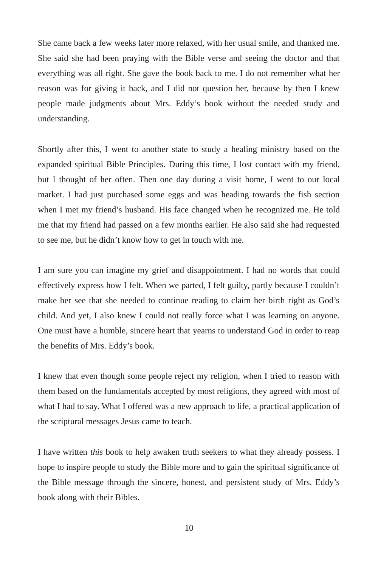She came back a few weeks later more relaxed, with her usual smile, and thanked me. She said she had been praying with the Bible verse and seeing the doctor and that everything was all right. She gave the book back to me. I do not remember what her reason was for giving it back, and I did not question her, because by then I knew people made judgments about Mrs. Eddy's book without the needed study and understanding.

Shortly after this, I went to another state to study a healing ministry based on the expanded spiritual Bible Principles. During this time, I lost contact with my friend, but I thought of her often. Then one day during a visit home, I went to our local market. I had just purchased some eggs and was heading towards the fish section when I met my friend's husband. His face changed when he recognized me. He told me that my friend had passed on a few months earlier. He also said she had requested to see me, but he didn't know how to get in touch with me.

I am sure you can imagine my grief and disappointment. I had no words that could effectively express how I felt. When we parted, I felt guilty, partly because I couldn't make her see that she needed to continue reading to claim her birth right as God's child. And yet, I also knew I could not really force what I was learning on anyone. One must have a humble, sincere heart that yearns to understand God in order to reap the benefits of Mrs. Eddy's book.

I knew that even though some people reject my religion, when I tried to reason with them based on the fundamentals accepted by most religions, they agreed with most of what I had to say. What I offered was a new approach to life, a practical application of the scriptural messages Jesus came to teach.

I have written *this* book to help awaken truth seekers to what they already possess. I hope to inspire people to study the Bible more and to gain the spiritual significance of the Bible message through the sincere, honest, and persistent study of Mrs. Eddy's book along with their Bibles.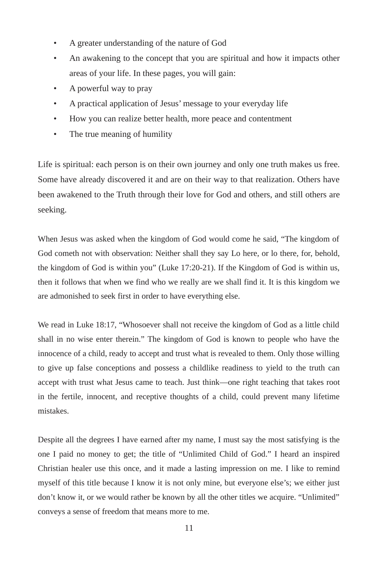- A greater understanding of the nature of God
- An awakening to the concept that you are spiritual and how it impacts other areas of your life. In these pages, you will gain:
- A powerful way to pray
- A practical application of Jesus' message to your everyday life
- How you can realize better health, more peace and contentment
- The true meaning of humility

Life is spiritual: each person is on their own journey and only one truth makes us free. Some have already discovered it and are on their way to that realization. Others have been awakened to the Truth through their love for God and others, and still others are seeking.

When Jesus was asked when the kingdom of God would come he said, "The kingdom of God cometh not with observation: Neither shall they say Lo here, or lo there, for, behold, the kingdom of God is within you" (Luke 17:20-21). If the Kingdom of God is within us, then it follows that when we find who we really are we shall find it. It is this kingdom we are admonished to seek first in order to have everything else.

We read in Luke 18:17, "Whosoever shall not receive the kingdom of God as a little child shall in no wise enter therein." The kingdom of God is known to people who have the innocence of a child, ready to accept and trust what is revealed to them. Only those willing to give up false conceptions and possess a childlike readiness to yield to the truth can accept with trust what Jesus came to teach. Just think—one right teaching that takes root in the fertile, innocent, and receptive thoughts of a child, could prevent many lifetime mistakes.

Despite all the degrees I have earned after my name, I must say the most satisfying is the one I paid no money to get; the title of "Unlimited Child of God." I heard an inspired Christian healer use this once, and it made a lasting impression on me. I like to remind myself of this title because I know it is not only mine, but everyone else's; we either just don't know it, or we would rather be known by all the other titles we acquire. "Unlimited" conveys a sense of freedom that means more to me.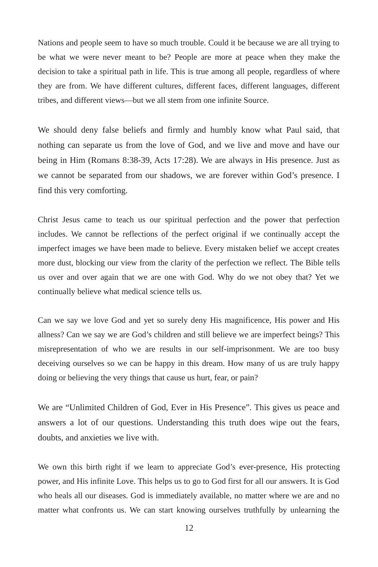Nations and people seem to have so much trouble. Could it be because we are all trying to be what we were never meant to be? People are more at peace when they make the decision to take a spiritual path in life. This is true among all people, regardless of where they are from. We have different cultures, different faces, different languages, different tribes, and different views—but we all stem from one infinite Source.

We should deny false beliefs and firmly and humbly know what Paul said, that nothing can separate us from the love of God, and we live and move and have our being in Him (Romans 8:38-39, Acts 17:28). We are always in His presence. Just as we cannot be separated from our shadows, we are forever within God's presence. I find this very comforting.

Christ Jesus came to teach us our spiritual perfection and the power that perfection includes. We cannot be reflections of the perfect original if we continually accept the imperfect images we have been made to believe. Every mistaken belief we accept creates more dust, blocking our view from the clarity of the perfection we reflect. The Bible tells us over and over again that we are one with God. Why do we not obey that? Yet we continually believe what medical science tells us.

Can we say we love God and yet so surely deny His magnificence, His power and His allness? Can we say we are God's children and still believe we are imperfect beings? This misrepresentation of who we are results in our self-imprisonment. We are too busy deceiving ourselves so we can be happy in this dream. How many of us are truly happy doing or believing the very things that cause us hurt, fear, or pain?

We are "Unlimited Children of God, Ever in His Presence". This gives us peace and answers a lot of our questions. Understanding this truth does wipe out the fears, doubts, and anxieties we live with.

We own this birth right if we learn to appreciate God's ever-presence, His protecting power, and His infinite Love. This helps us to go to God first for all our answers. It is God who heals all our diseases. God is immediately available, no matter where we are and no matter what confronts us. We can start knowing ourselves truthfully by unlearning the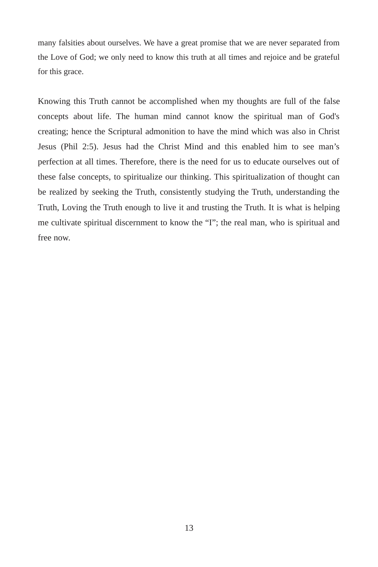many falsities about ourselves. We have a great promise that we are never separated from the Love of God; we only need to know this truth at all times and rejoice and be grateful for this grace.

Knowing this Truth cannot be accomplished when my thoughts are full of the false concepts about life. The human mind cannot know the spiritual man of God's creating; hence the Scriptural admonition to have the mind which was also in Christ Jesus (Phil 2:5). Jesus had the Christ Mind and this enabled him to see man's perfection at all times. Therefore, there is the need for us to educate ourselves out of these false concepts, to spiritualize our thinking. This spiritualization of thought can be realized by seeking the Truth, consistently studying the Truth, understanding the Truth, Loving the Truth enough to live it and trusting the Truth. It is what is helping me cultivate spiritual discernment to know the "I"; the real man, who is spiritual and free now.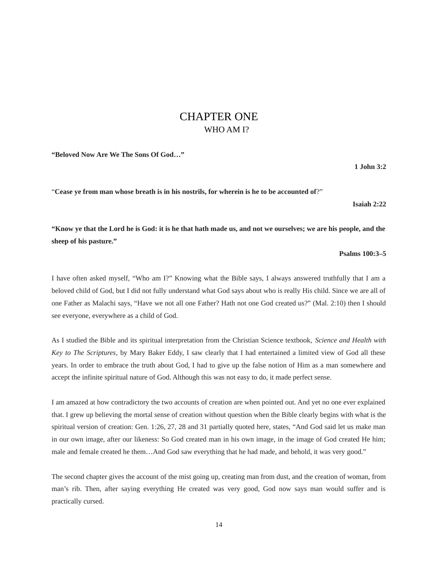### <span id="page-13-0"></span>CHAPTER ONE WHO AM I?

**"Beloved Now Are We The Sons Of God…"**

**1 John 3:2**

"**Cease ye from man whose breath is in his nostrils, for wherein is he to be accounted of**?"

**Isaiah 2:22**

**"Know ye that the Lord he is God: it is he that hath made us, and not we ourselves; we are his people, and the sheep of his pasture."**

### **Psalms 100:3–5**

I have often asked myself, "Who am I?" Knowing what the Bible says, I always answered truthfully that I am a beloved child of God, but I did not fully understand what God says about who is really His child. Since we are all of one Father as Malachi says, "Have we not all one Father? Hath not one God created us?" (Mal. 2:10) then I should see everyone, everywhere as a child of God.

As I studied the Bible and its spiritual interpretation from the Christian Science textbook, *Science and Health with Key to The Scriptures*, by Mary Baker Eddy, I saw clearly that I had entertained a limited view of God all these years. In order to embrace the truth about God, I had to give up the false notion of Him as a man somewhere and accept the infinite spiritual nature of God. Although this was not easy to do, it made perfect sense.

I am amazed at how contradictory the two accounts of creation are when pointed out. And yet no one ever explained that. I grew up believing the mortal sense of creation without question when the Bible clearly begins with what is the spiritual version of creation: Gen. 1:26, 27, 28 and 31 partially quoted here, states, "And God said let us make man in our own image, after our likeness: So God created man in his own image, in the image of God created He him; male and female created he them…And God saw everything that he had made, and behold, it was very good."

The second chapter gives the account of the mist going up, creating man from dust, and the creation of woman, from man's rib. Then, after saying everything He created was very good, God now says man would suffer and is practically cursed.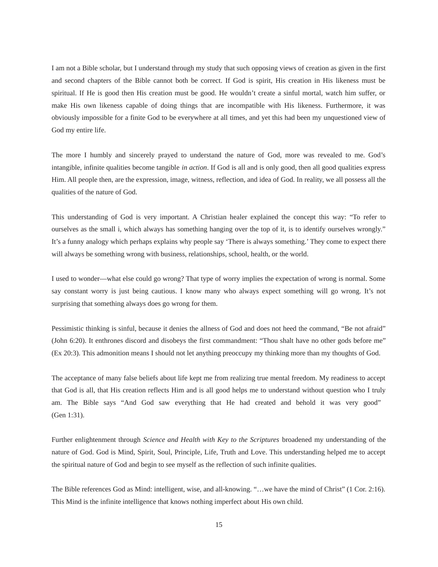I am not a Bible scholar, but I understand through my study that such opposing views of creation as given in the first and second chapters of the Bible cannot both be correct. If God is spirit, His creation in His likeness must be spiritual. If He is good then His creation must be good. He wouldn't create a sinful mortal, watch him suffer, or make His own likeness capable of doing things that are incompatible with His likeness. Furthermore, it was obviously impossible for a finite God to be everywhere at all times, and yet this had been my unquestioned view of God my entire life.

The more I humbly and sincerely prayed to understand the nature of God, more was revealed to me. God's intangible, infinite qualities become tangible *in action*. If God is all and is only good, then all good qualities express Him. All people then, are the expression, image, witness, reflection, and idea of God. In reality, we all possess all the qualities of the nature of God.

This understanding of God is very important. A Christian healer explained the concept this way: "To refer to ourselves as the small i, which always has something hanging over the top of it, is to identify ourselves wrongly." It's a funny analogy which perhaps explains why people say 'There is always something.' They come to expect there will always be something wrong with business, relationships, school, health, or the world.

I used to wonder—what else could go wrong? That type of worry implies the expectation of wrong is normal. Some say constant worry is just being cautious. I know many who always expect something will go wrong. It's not surprising that something always does go wrong for them.

Pessimistic thinking is sinful, because it denies the allness of God and does not heed the command, "Be not afraid" (John 6:20). It enthrones discord and disobeys the first commandment: "Thou shalt have no other gods before me" (Ex 20:3). This admonition means I should not let anything preoccupy my thinking more than my thoughts of God.

The acceptance of many false beliefs about life kept me from realizing true mental freedom. My readiness to accept that God is all, that His creation reflects Him and is all good helps me to understand without question who I truly am. The Bible says "And God saw everything that He had created and behold it was very good" (Gen 1:31).

Further enlightenment through *Science and Health with Key to the Scriptures* broadened my understanding of the nature of God. God is Mind, Spirit, Soul, Principle, Life, Truth and Love. This understanding helped me to accept the spiritual nature of God and begin to see myself as the reflection of such infinite qualities.

The Bible references God as Mind: intelligent, wise, and all-knowing. "…we have the mind of Christ" (1 Cor. 2:16). This Mind is the infinite intelligence that knows nothing imperfect about His own child.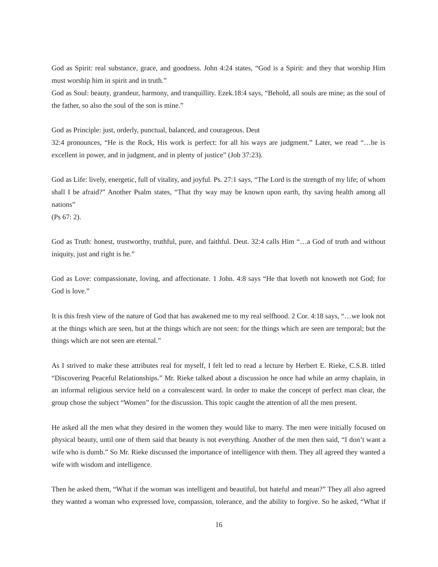God as Spirit: real substance, grace, and goodness. John 4:24 states, "God is a Spirit: and they that worship Him must worship him in spirit and in truth."

God as Soul: beauty, grandeur, harmony, and tranquillity. Ezek.18:4 says, "Behold, all souls are mine; as the soul of the father, so also the soul of the son is mine."

God as Principle: just, orderly, punctual, balanced, and courageous. Deut

32:4 pronounces, "He is the Rock, His work is perfect: for all his ways are judgment." Later, we read "…he is excellent in power, and in judgment, and in plenty of justice" (Job 37:23).

God as Life: lively, energetic, full of vitality, and joyful. Ps. 27:1 says, "The Lord is the strength of my life; of whom shall I be afraid?" Another Psalm states, "That thy way may be known upon earth, thy saving health among all nations" and the state of the state of the state of the state of the state of the state of the state of the state of the state of the state of the state of the state of the state of the state of the state of the state of t

(Ps 67: 2).

God as Truth: honest, trustworthy, truthful, pure, and faithful. Deut. 32:4 calls Him "…a God of truth and without iniquity, just and right is he."

God as Love: compassionate, loving, and affectionate. 1 John. 4:8 says "He that loveth not knoweth not God; for God is love."

It is this fresh view of the nature of God that has awakened me to my real selfhood. 2 Cor. 4:18 says, "…we look not at the things which are seen, but at the things which are not seen: for the things which are seen are temporal; but the things which are not seen are eternal."

As I strived to make these attributes real for myself, I felt led to read a lecture by Herbert E. Rieke, C.S.B. titled "Discovering Peaceful Relationships." Mr. Rieke talked about a discussion he once had while an army chaplain, in an informal religious service held on a convalescent ward. In order to make the concept of perfect man clear, the group chose the subject "Women" for the discussion. This topic caught the attention of all the men present.

He asked all the men what they desired in the women they would like to marry. The men were initially focused on physical beauty, until one of them said that beauty is not everything. Another of the men then said, "I don't want a wife who is dumb." So Mr. Rieke discussed the importance of intelligence with them. They all agreed they wanted a wife with wisdom and intelligence.

Then he asked them, "What if the woman was intelligent and beautiful, but hateful and mean?" They all also agreed they wanted a woman who expressed love, compassion, tolerance, and the ability to forgive. So he asked, "What if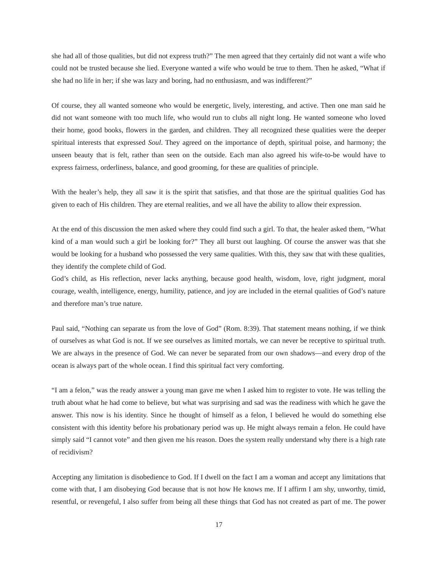she had all of those qualities, but did not express truth?" The men agreed that they certainly did not want a wife who could not be trusted because she lied. Everyone wanted a wife who would be true to them. Then he asked, "What if she had no life in her; if she was lazy and boring, had no enthusiasm, and was indifferent?"

Of course, they all wanted someone who would be energetic, lively, interesting, and active. Then one man said he did not want someone with too much life, who would run to clubs all night long. He wanted someone who loved their home, good books, flowers in the garden, and children. They all recognized these qualities were the deeper spiritual interests that expressed *Soul*. They agreed on the importance of depth, spiritual poise, and harmony; the unseen beauty that is felt, rather than seen on the outside. Each man also agreed his wife-to-be would have to express fairness, orderliness, balance, and good grooming, for these are qualities of principle.

With the healer's help, they all saw it is the spirit that satisfies, and that those are the spiritual qualities God has given to each of His children. They are eternal realities, and we all have the ability to allow their expression.

At the end of this discussion the men asked where they could find such a girl. To that, the healer asked them, "What kind of a man would such a girl be looking for?" They all burst out laughing. Of course the answer was that she would be looking for a husband who possessed the very same qualities. With this, they saw that with these qualities, they identify the complete child of God.

God's child, as His reflection, never lacks anything, because good health, wisdom, love, right judgment, moral courage, wealth, intelligence, energy, humility, patience, and joy are included in the eternal qualities of God's nature and therefore man's true nature.

Paul said, "Nothing can separate us from the love of God" (Rom. 8:39). That statement means nothing, if we think of ourselves as what God is not. If we see ourselves as limited mortals, we can never be receptive to spiritual truth. We are always in the presence of God. We can never be separated from our own shadows—and every drop of the ocean is always part of the whole ocean. I find this spiritual fact very comforting.

"I am a felon," was the ready answer a young man gave me when I asked him to register to vote. He was telling the truth about what he had come to believe, but what was surprising and sad was the readiness with which he gave the answer. This now is his identity. Since he thought of himself as a felon, I believed he would do something else consistent with this identity before his probationary period was up. He might always remain a felon. He could have simply said "I cannot vote" and then given me his reason. Does the system really understand why there is a high rate of recidivism?

Accepting any limitation is disobedience to God. If I dwell on the fact I am a woman and accept any limitations that come with that, I am disobeying God because that is not how He knows me. If I affirm I am shy, unworthy, timid, resentful, or revengeful, I also suffer from being all these things that God has not created as part of me. The power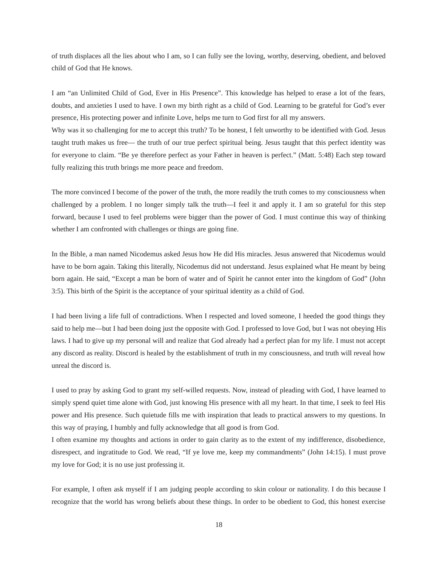of truth displaces all the lies about who I am, so I can fully see the loving, worthy, deserving, obedient, and beloved child of God that He knows.

I am "an Unlimited Child of God, Ever in His Presence". This knowledge has helped to erase a lot of the fears, doubts, and anxieties I used to have. I own my birth right as a child of God. Learning to be grateful for God's ever presence, His protecting power and infinite Love, helps me turn to God first for all my answers.

Why was it so challenging for me to accept this truth? To be honest, I felt unworthy to be identified with God. Jesus taught truth makes us free— the truth of our true perfect spiritual being. Jesus taught that this perfect identity was for everyone to claim. "Be ye therefore perfect as your Father in heaven is perfect." (Matt. 5:48) Each step toward fully realizing this truth brings me more peace and freedom.

The more convinced I become of the power of the truth, the more readily the truth comes to my consciousness when challenged by a problem. I no longer simply talk the truth—I feel it and apply it. I am so grateful for this step forward, because I used to feel problems were bigger than the power of God. I must continue this way of thinking whether I am confronted with challenges or things are going fine.

In the Bible, a man named Nicodemus asked Jesus how He did His miracles. Jesus answered that Nicodemus would have to be born again. Taking this literally, Nicodemus did not understand. Jesus explained what He meant by being born again. He said, "Except a man be born of water and of Spirit he cannot enter into the kingdom of God" (John 3:5). This birth of the Spirit is the acceptance of your spiritual identity as a child of God.

I had been living a life full of contradictions. When I respected and loved someone, I heeded the good things they said to help me—but I had been doing just the opposite with God. I professed to love God, but I was not obeying His laws. I had to give up my personal will and realize that God already had a perfect plan for my life. I must not accept any discord as reality. Discord is healed by the establishment of truth in my consciousness, and truth will reveal how unreal the discord is.

I used to pray by asking God to grant my self-willed requests. Now, instead of pleading with God, I have learned to simply spend quiet time alone with God, just knowing His presence with all my heart. In that time, I seek to feel His power and His presence. Such quietude fills me with inspiration that leads to practical answers to my questions. In this way of praying, I humbly and fully acknowledge that all good is from God.

I often examine my thoughts and actions in order to gain clarity as to the extent of my indifference, disobedience, disrespect, and ingratitude to God. We read, "If ye love me, keep my commandments" (John 14:15). I must prove my love for God; it is no use just professing it.

For example, I often ask myself if I am judging people according to skin colour or nationality. I do this because I recognize that the world has wrong beliefs about these things. In order to be obedient to God, this honest exercise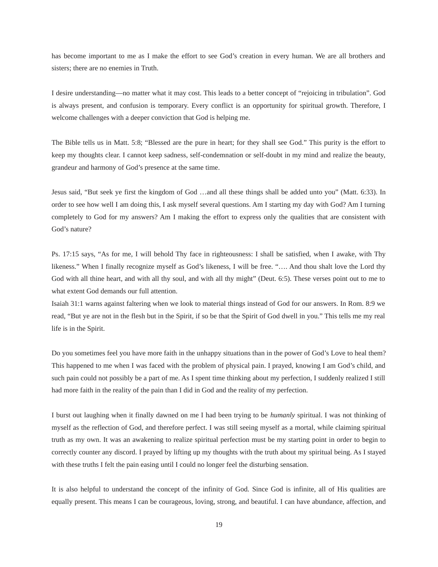has become important to me as I make the effort to see God's creation in every human. We are all brothers and sisters; there are no enemies in Truth.

I desire understanding—no matter what it may cost. This leads to a better concept of "rejoicing in tribulation". God is always present, and confusion is temporary. Every conflict is an opportunity for spiritual growth. Therefore, I welcome challenges with a deeper conviction that God is helping me.

The Bible tells us in Matt. 5:8; "Blessed are the pure in heart; for they shall see God." This purity is the effort to keep my thoughts clear. I cannot keep sadness, self-condemnation or self-doubt in my mind and realize the beauty, grandeur and harmony of God's presence at the same time.

Jesus said, "But seek ye first the kingdom of God …and all these things shall be added unto you" (Matt. 6:33). In order to see how well I am doing this, I ask myself several questions. Am I starting my day with God? Am I turning completely to God for my answers? Am I making the effort to express only the qualities that are consistent with God's nature?

Ps. 17:15 says, "As for me, I will behold Thy face in righteousness: I shall be satisfied, when I awake, with Thy likeness." When I finally recognize myself as God's likeness, I will be free. "…. And thou shalt love the Lord thy God with all thine heart, and with all thy soul, and with all thy might" (Deut. 6:5). These verses point out to me to what extent God demands our full attention.

Isaiah 31:1 warns against faltering when we look to material things instead of God for our answers. In Rom. 8:9 we read, "But ye are not in the flesh but in the Spirit, if so be that the Spirit of God dwell in you." This tells me my real life is in the Spirit.

Do you sometimes feel you have more faith in the unhappy situations than in the power of God's Love to heal them? This happened to me when I was faced with the problem of physical pain. I prayed, knowing I am God's child, and such pain could not possibly be a part of me. As I spent time thinking about my perfection, I suddenly realized I still had more faith in the reality of the pain than I did in God and the reality of my perfection.

I burst out laughing when it finally dawned on me I had been trying to be *humanly* spiritual. I was not thinking of myself as the reflection of God, and therefore perfect. I was still seeing myself as a mortal, while claiming spiritual truth as my own. It was an awakening to realize spiritual perfection must be my starting point in order to begin to correctly counter any discord. I prayed by lifting up my thoughts with the truth about my spiritual being. As I stayed with these truths I felt the pain easing until I could no longer feel the disturbing sensation.

It is also helpful to understand the concept of the infinity of God. Since God is infinite, all of His qualities are equally present. This means I can be courageous, loving, strong, and beautiful. I can have abundance, affection, and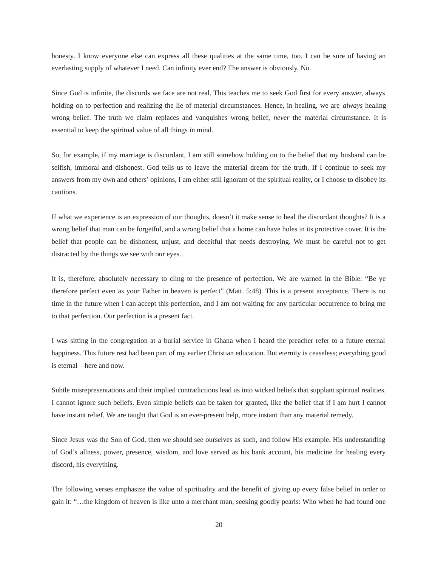honesty. I know everyone else can express all these qualities at the same time, too. I can be sure of having an everlasting supply of whatever I need. Can infinity ever end? The answer is obviously, No.

Since God is infinite, the discords we face are not real. This teaches me to seek God first for every answer, always holding on to perfection and realizing the lie of material circumstances. Hence, in healing, we are *always* healing wrong belief. The truth we claim replaces and vanquishes wrong belief, *never* the material circumstance. It is essential to keep the spiritual value of all things in mind.

So, for example, if my marriage is discordant, I am still somehow holding on to the belief that my husband can be selfish, immoral and dishonest. God tells us to leave the material dream for the truth. If I continue to seek my answers from my own and others' opinions, I am either still ignorant of the spiritual reality, or I choose to disobey its cautions.

If what we experience is an expression of our thoughts, doesn't it make sense to heal the discordant thoughts? It is a wrong belief that man can be forgetful, and a wrong belief that a home can have holes in its protective cover. It is the belief that people can be dishonest, unjust, and deceitful that needs destroying. We must be careful not to get distracted by the things we see with our eyes.

It is, therefore, absolutely necessary to cling to the presence of perfection. We are warned in the Bible: "Be ye therefore perfect even as your Father in heaven is perfect" (Matt. 5:48). This is a present acceptance. There is no time in the future when I can accept this perfection, and I am not waiting for any particular occurrence to bring me to that perfection. Our perfection is a present fact.

I was sitting in the congregation at a burial service in Ghana when I heard the preacher refer to a future eternal happiness. This future rest had been part of my earlier Christian education. But eternity is ceaseless; everything good is eternal—here and now.

Subtle misrepresentations and their implied contradictions lead us into wicked beliefs that supplant spiritual realities. I cannot ignore such beliefs. Even simple beliefs can be taken for granted, like the belief that if I am hurt I cannot have instant relief. We are taught that God is an ever-present help, more instant than any material remedy.

Since Jesus was the Son of God, then we should see ourselves as such, and follow His example. His understanding of God's allness, power, presence, wisdom, and love served as his bank account, his medicine for healing every discord, his everything.

The following verses emphasize the value of spirituality and the benefit of giving up every false belief in order to gain it: "…the kingdom of heaven is like unto a merchant man, seeking goodly pearls: Who when he had found one